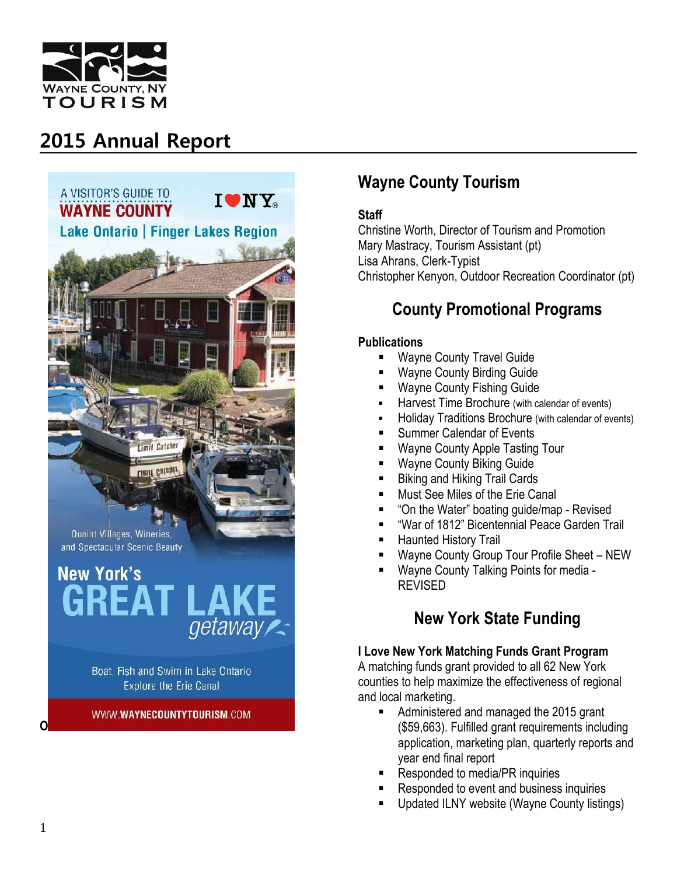



### **Wayne County Tourism**

#### **Staff**

Christine Worth, Director of Tourism and Promotion Mary Mastracy, Tourism Assistant (pt) Lisa Ahrans, Clerk-Typist Christopher Kenyon, Outdoor Recreation Coordinator (pt)

### **County Promotional Programs**

#### **Publications**

- **Wayne County Travel Guide**
- Wayne County Birding Guide
- Wayne County Fishing Guide
- **Harvest Time Brochure (with calendar of events)**
- **-** Holiday Traditions Brochure (with calendar of events)
- Summer Calendar of Events
- **Wayne County Apple Tasting Tour**
- Wayne County Biking Guide
- Biking and Hiking Trail Cards
- Must See Miles of the Erie Canal
- "On the Water" boating guide/map Revised
- "War of 1812" Bicentennial Peace Garden Trail
- Haunted History Trail
- Wayne County Group Tour Profile Sheet NEW
- Wayne County Talking Points for media REVISED

### **New York State Funding**

#### **I Love New York Matching Funds Grant Program**

A matching funds grant provided to all 62 New York counties to help maximize the effectiveness of regional and local marketing.

- Administered and managed the 2015 grant (\$59,663). Fulfilled grant requirements including application, marketing plan, quarterly reports and year end final report
- Responded to media/PR inquiries
- Responded to event and business inquiries
- Updated ILNY website (Wayne County listings)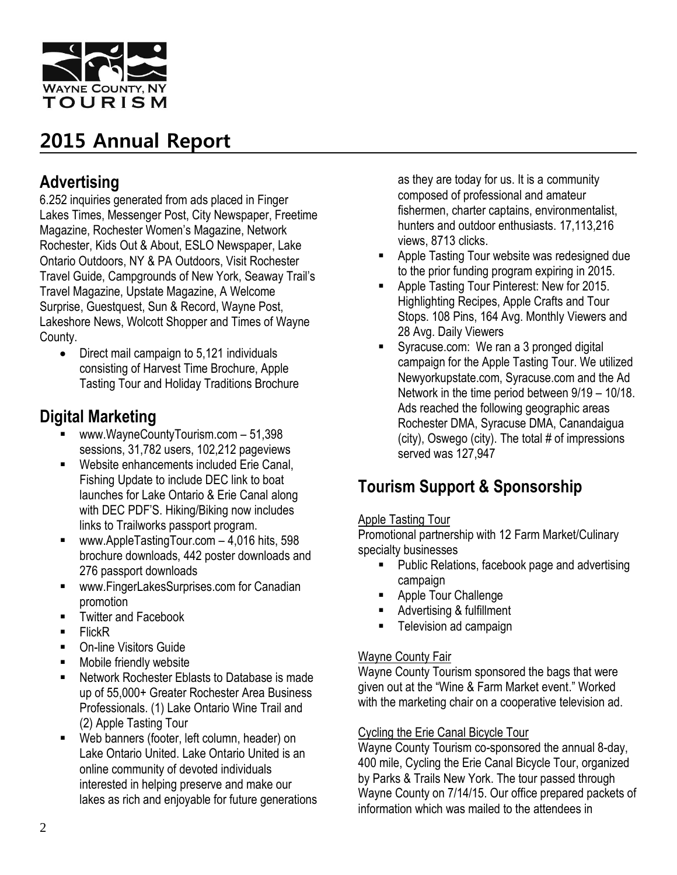

### **Advertising**

6.252 inquiries generated from ads placed in Finger Lakes Times, Messenger Post, City Newspaper, Freetime Magazine, Rochester Women's Magazine, Network Rochester, Kids Out & About, ESLO Newspaper, Lake Ontario Outdoors, NY & PA Outdoors, Visit Rochester Travel Guide, Campgrounds of New York, Seaway Trail's Travel Magazine, Upstate Magazine, A Welcome Surprise, Guestquest, Sun & Record, Wayne Post, Lakeshore News, Wolcott Shopper and Times of Wayne County.

• Direct mail campaign to 5,121 individuals consisting of Harvest Time Brochure, Apple Tasting Tour and Holiday Traditions Brochure

### **Digital Marketing**

- www.WayneCountyTourism.com 51,398 sessions, 31,782 users, 102,212 pageviews
- **Website enhancements included Erie Canal.** Fishing Update to include DEC link to boat launches for Lake Ontario & Erie Canal along with DEC PDF'S. Hiking/Biking now includes links to Trailworks passport program.
- www.AppleTastingTour.com 4,016 hits, 598 brochure downloads, 442 poster downloads and 276 passport downloads
- www.FingerLakesSurprises.com for Canadian promotion
- Twitter and Facebook
- FlickR
- On-line Visitors Guide
- Mobile friendly website
- Network Rochester Eblasts to Database is made up of 55,000+ Greater Rochester Area Business Professionals. (1) Lake Ontario Wine Trail and (2) Apple Tasting Tour
- Web banners (footer, left column, header) on Lake Ontario United. Lake Ontario United is an online community of devoted individuals interested in helping preserve and make our lakes as rich and enjoyable for future generations

as they are today for us. It is a community composed of professional and amateur fishermen, charter captains, environmentalist, hunters and outdoor enthusiasts. 17,113,216 views, 8713 clicks.

- Apple Tasting Tour website was redesigned due to the prior funding program expiring in 2015.
- Apple Tasting Tour Pinterest: New for 2015. Highlighting Recipes, Apple Crafts and Tour Stops. 108 Pins, 164 Avg. Monthly Viewers and 28 Avg. Daily Viewers
- **Syracuse.com: We ran a 3 pronged digital** campaign for the Apple Tasting Tour. We utilized Newyorkupstate.com, Syracuse.com and the Ad Network in the time period between 9/19 – 10/18. Ads reached the following geographic areas Rochester DMA, Syracuse DMA, Canandaigua (city), Oswego (city). The total # of impressions served was 127,947

## **Tourism Support & Sponsorship**

#### Apple Tasting Tour

Promotional partnership with 12 Farm Market/Culinary specialty businesses

- **Public Relations, facebook page and advertising** campaign
- Apple Tour Challenge
- Advertising & fulfillment
- **Television ad campaign**

#### Wayne County Fair

Wayne County Tourism sponsored the bags that were given out at the "Wine & Farm Market event." Worked with the marketing chair on a cooperative television ad.

#### Cycling the Erie Canal Bicycle Tour

Wayne County Tourism co-sponsored the annual 8-day, 400 mile, Cycling the Erie Canal Bicycle Tour, organized by Parks & Trails New York. The tour passed through Wayne County on 7/14/15. Our office prepared packets of information which was mailed to the attendees in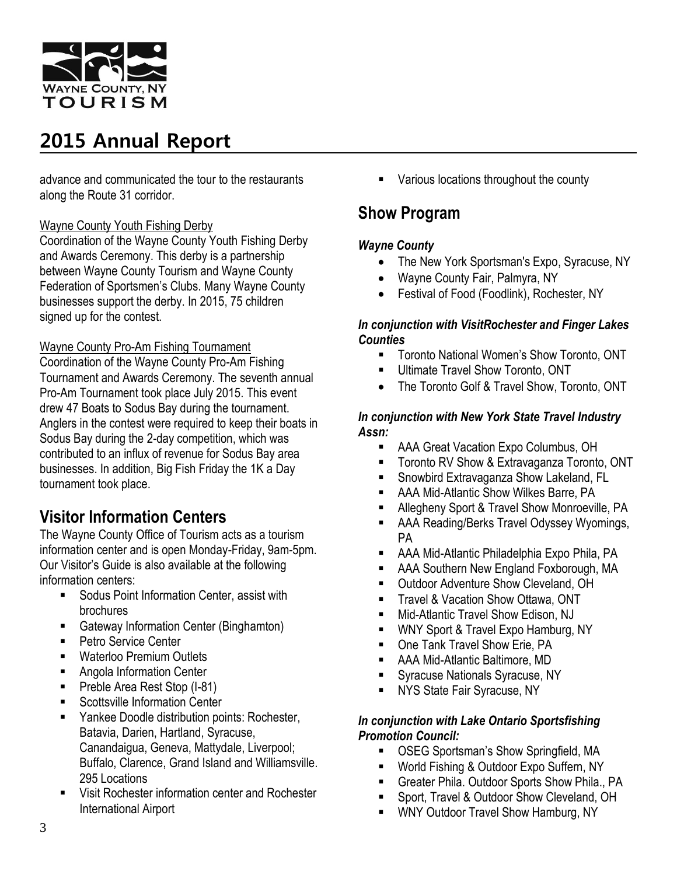

advance and communicated the tour to the restaurants along the Route 31 corridor.

#### Wayne County Youth Fishing Derby

Coordination of the Wayne County Youth Fishing Derby and Awards Ceremony. This derby is a partnership between Wayne County Tourism and Wayne County Federation of Sportsmen's Clubs. Many Wayne County businesses support the derby. In 2015, 75 children signed up for the contest.

#### Wayne County Pro-Am Fishing Tournament

Coordination of the Wayne County Pro-Am Fishing Tournament and Awards Ceremony. The seventh annual Pro-Am Tournament took place July 2015. This event drew 47 Boats to Sodus Bay during the tournament. Anglers in the contest were required to keep their boats in Sodus Bay during the 2-day competition, which was contributed to an influx of revenue for Sodus Bay area businesses. In addition, Big Fish Friday the 1K a Day tournament took place.

### **Visitor Information Centers**

The Wayne County Office of Tourism acts as a tourism information center and is open Monday-Friday, 9am-5pm. Our Visitor's Guide is also available at the following information centers:

- Sodus Point Information Center, assist with brochures
- **Gateway Information Center (Binghamton)**
- Petro Service Center
- Waterloo Premium Outlets
- Angola Information Center
- **Preble Area Rest Stop (I-81)**
- **Scottsville Information Center**
- **EXECO Yankee Doodle distribution points: Rochester,** Batavia, Darien, Hartland, Syracuse, Canandaigua, Geneva, Mattydale, Liverpool; Buffalo, Clarence, Grand Island and Williamsville. 295 Locations
- Visit Rochester information center and Rochester International Airport

**Various locations throughout the county** 

### **Show Program**

#### *Wayne County*

- The New York Sportsman's Expo, Syracuse, NY
- Wayne County Fair, Palmyra, NY
- **•** Festival of Food (Foodlink), Rochester, NY

#### *In conjunction with VisitRochester and Finger Lakes Counties*

- Toronto National Women's Show Toronto, ONT
- **Ultimate Travel Show Toronto, ONT**
- The Toronto Golf & Travel Show, Toronto, ONT

#### *In conjunction with New York State Travel Industry Assn:*

- AAA Great Vacation Expo Columbus, OH
- **Toronto RV Show & Extravaganza Toronto, ONT**
- **Snowbird Extravaganza Show Lakeland, FL**
- AAA Mid-Atlantic Show Wilkes Barre, PA
- **Allegheny Sport & Travel Show Monroeville, PA**
- **AAA Reading/Berks Travel Odyssey Wyomings,** PA
- AAA Mid-Atlantic Philadelphia Expo Phila, PA
- AAA Southern New England Foxborough, MA
- Outdoor Adventure Show Cleveland, OH
- **Travel & Vacation Show Ottawa, ONT**
- Mid-Atlantic Travel Show Edison, NJ
- **WINY Sport & Travel Expo Hamburg, NY**
- One Tank Travel Show Erie, PA
- AAA Mid-Atlantic Baltimore, MD
- **Syracuse Nationals Syracuse, NY**
- **NYS State Fair Syracuse, NY**

#### *In conjunction with Lake Ontario Sportsfishing Promotion Council:*

- **DISCUTE SPORTS SHOW Springfield, MA**
- **World Fishing & Outdoor Expo Suffern, NY**
- Greater Phila. Outdoor Sports Show Phila., PA
- Sport, Travel & Outdoor Show Cleveland, OH
- **WINY Outdoor Travel Show Hamburg, NY**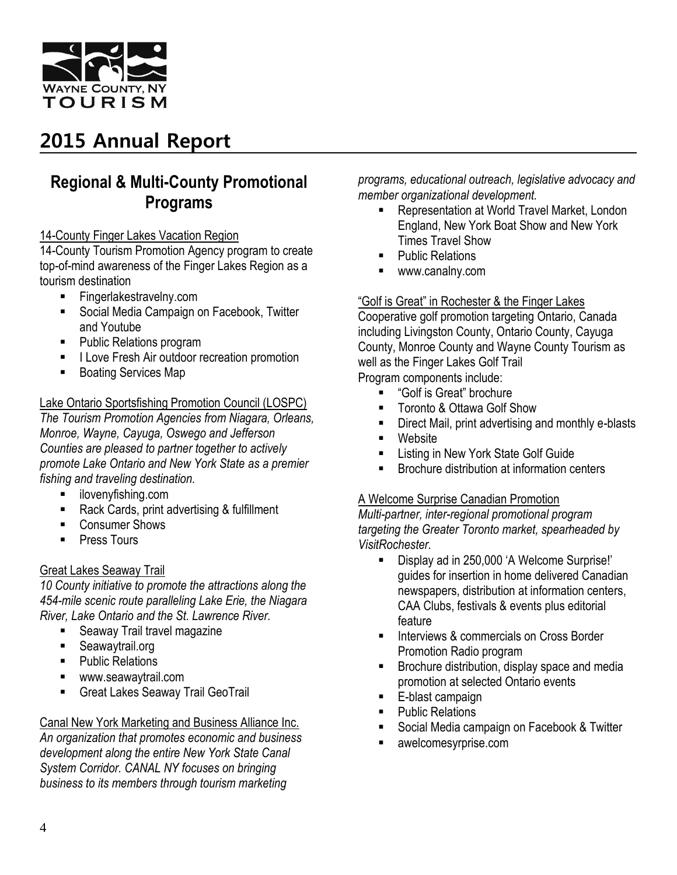

### **Regional & Multi-County Promotional Programs**

#### 14-County Finger Lakes Vacation Region

14-County Tourism Promotion Agency program to create top-of-mind awareness of the Finger Lakes Region as a tourism destination

- Fingerlakestravelny.com
- Social Media Campaign on Facebook, Twitter and Youtube
- Public Relations program
- **I** Love Fresh Air outdoor recreation promotion
- Boating Services Map

#### Lake Ontario Sportsfishing Promotion Council (LOSPC) *The Tourism Promotion Agencies from Niagara, Orleans, Monroe, Wayne, Cayuga, Oswego and Jefferson Counties are pleased to partner together to actively promote Lake Ontario and New York State as a premier fishing and traveling destination.*

- **i** ilovenyfishing.com
- Rack Cards, print advertising & fulfillment
- Consumer Shows
- Press Tours

#### Great Lakes Seaway Trail

*10 County initiative to promote the attractions along the 454-mile scenic route paralleling Lake Erie, the Niagara River, Lake Ontario and the St. Lawrence River.*

- Seaway Trail travel magazine
- **Seawaytrail.org**
- Public Relations
- www.seawaytrail.com
- **Great Lakes Seaway Trail GeoTrail**

#### Canal New York Marketing and Business Alliance Inc.

*An organization that promotes economic and business development along the entire New York State Canal System Corridor. CANAL NY focuses on bringing business to its members through tourism marketing* 

*programs, educational outreach, legislative advocacy and member organizational development.*

- **Representation at World Travel Market, London** England, New York Boat Show and New York Times Travel Show
- Public Relations
- www.canalny.com

#### "Golf is Great" in Rochester & the Finger Lakes

Cooperative golf promotion targeting Ontario, Canada including Livingston County, Ontario County, Cayuga County, Monroe County and Wayne County Tourism as well as the Finger Lakes Golf Trail Program components include:

- "Golf is Great" brochure
- **Toronto & Ottawa Golf Show**
- Direct Mail, print advertising and monthly e-blasts
- **Website**
- **Example 1** Listing in New York State Golf Guide
- Brochure distribution at information centers

#### A Welcome Surprise Canadian Promotion

*Multi-partner, inter-regional promotional program targeting the Greater Toronto market, spearheaded by VisitRochester.*

- Display ad in 250,000 'A Welcome Surprise!' guides for insertion in home delivered Canadian newspapers, distribution at information centers, CAA Clubs, festivals & events plus editorial feature
- **Interviews & commercials on Cross Border** Promotion Radio program
- Brochure distribution, display space and media promotion at selected Ontario events
- E-blast campaign
- Public Relations
- Social Media campaign on Facebook & Twitter
- awelcomesyrprise.com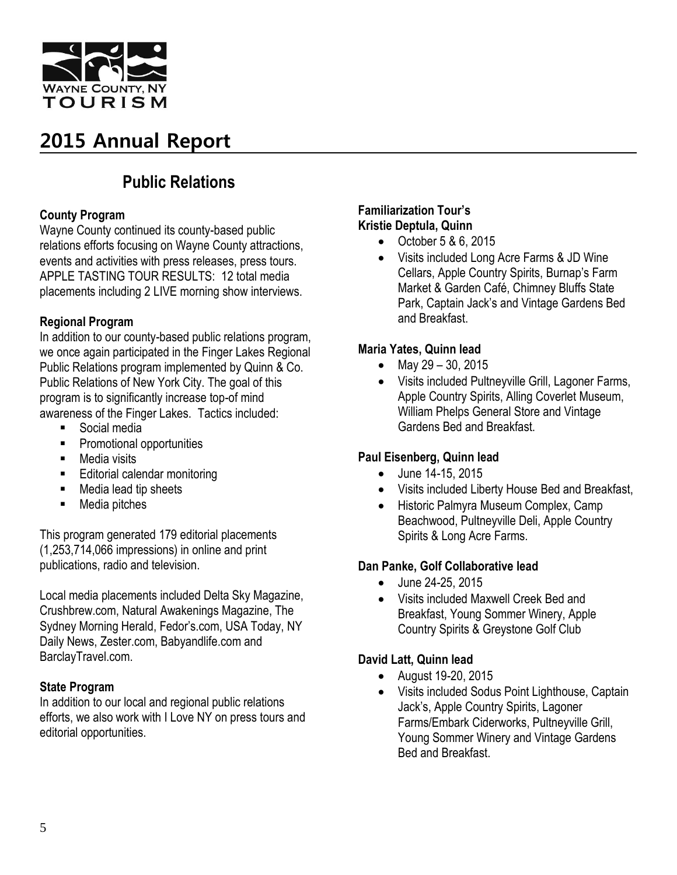

### **Public Relations**

#### **County Program**

Wayne County continued its county-based public relations efforts focusing on Wayne County attractions, events and activities with press releases, press tours. APPLE TASTING TOUR RESULTS: 12 total media placements including 2 LIVE morning show interviews.

#### **Regional Program**

In addition to our county-based public relations program, we once again participated in the Finger Lakes Regional Public Relations program implemented by Quinn & Co. Public Relations of New York City. The goal of this program is to significantly increase top-of mind awareness of the Finger Lakes. Tactics included:

- Social media
- Promotional opportunities
- Media visits
- **Editorial calendar monitoring**
- Media lead tip sheets
- Media pitches

This program generated 179 editorial placements (1,253,714,066 impressions) in online and print publications, radio and television.

Local media placements included Delta Sky Magazine, Crushbrew.com, Natural Awakenings Magazine, The Sydney Morning Herald, Fedor's.com, USA Today, NY Daily News, Zester.com, Babyandlife.com and BarclayTravel.com.

#### **State Program**

In addition to our local and regional public relations efforts, we also work with I Love NY on press tours and editorial opportunities.

#### **Familiarization Tour's Kristie Deptula, Quinn**

- October 5 & 6, 2015
- Visits included Long Acre Farms & JD Wine Cellars, Apple Country Spirits, Burnap's Farm Market & Garden Café, Chimney Bluffs State Park, Captain Jack's and Vintage Gardens Bed and Breakfast.

#### **Maria Yates, Quinn lead**

- May 29 30, 2015
- Visits included Pultneyville Grill, Lagoner Farms, Apple Country Spirits, Alling Coverlet Museum, William Phelps General Store and Vintage Gardens Bed and Breakfast.

#### **Paul Eisenberg, Quinn lead**

- June 14-15, 2015
- Visits included Liberty House Bed and Breakfast,
- Historic Palmyra Museum Complex, Camp Beachwood, Pultneyville Deli, Apple Country Spirits & Long Acre Farms.

#### **Dan Panke, Golf Collaborative lead**

- June 24-25, 2015
- Visits included Maxwell Creek Bed and Breakfast, Young Sommer Winery, Apple Country Spirits & Greystone Golf Club

#### **David Latt, Quinn lead**

- August 19-20, 2015
- Visits included Sodus Point Lighthouse, Captain Jack's, Apple Country Spirits, Lagoner Farms/Embark Ciderworks, Pultneyville Grill, Young Sommer Winery and Vintage Gardens Bed and Breakfast.